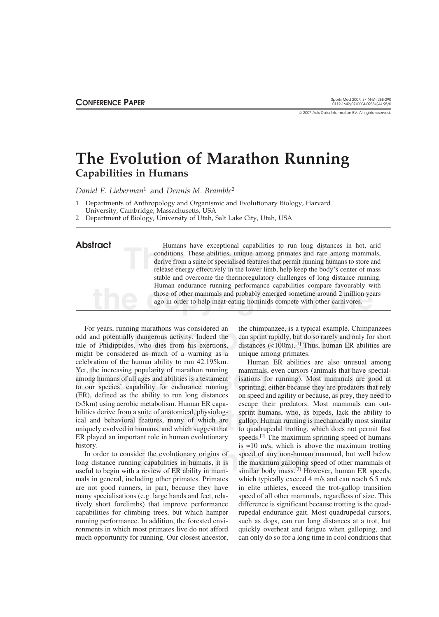© 2007 Adis Data Information BV. All rights reserved.

## **The Evolution of Marathon Running Capabilities in Humans**

*Daniel E. Lieberman*1 and *Dennis M. Bramble*<sup>2</sup>

1 Departments of Anthropology and Organismic and Evolutionary Biology, Harvard University, Cambridge, Massachusetts, USA

2 Department of Biology, University of Utah, Salt Lake City, Utah, USA

## This material is the exceptional capabilities to the long distances in not, and<br>conditions. These abilities, unique among primates and rare among mammals,<br>derive from a suite of specialised features that permit running hum those of other mammals and probably emerged sometime around 2 million years<br>ago in order to help meat-eating hominids compete with other carnivores. **Abstract** Humans have exceptional capabilities to run long distances in hot, arid derive from a suite of specialised features that permit running humans to store and release energy effectively in the lower limb, help keep the body's center of mass stable and overcome the thermoregulatory challenges of long distance running. Human endurance running performance capabilities compare favourably with ago in order to help meat-eating hominids compete with other carnivores.

ars, running marathons was considered an the chimpanzee, is a typical example. Chimpotentially dangerous activity. Indeed the can sprint rapidly, but do so rarely and only hidippides, who dies from his exertions, distances **The Universe of Section Control of the magnitude computer computer computer among humans of all ages and abilities is a testament to our species' capability for endurance running sprinting, either because they are predato** From a suite of anatomical, physiolog-<br>
vioral features, many of which are<br>
gallop. Human running is mechanical<br>
ed in humans, and which suggest that<br>
to quadrupedal trotting, which does<br>
to quadrupedal trotting, which doe odd and potentially dangerous activity. Indeed the can sprint rapidly, but do so rarely and only for short tale of Phidippides, who dies from his exertions, distances  $\left($ <100m).<sup>[1]</sup> Thus, human ER abilities are might be considered as much of a warning as a unique among primates. celebration of the human ability to run 42.195km. Human ER abilities are also unusual among Yet, the increasing popularity of marathon running mammals, even cursors (animals that have specialamong humans of all ages and abilities is a testament isations for running). Most mammals are good at (ER), defined as the ability to run long distances on speed and agility or because, as prey, they need to (>5km) using aerobic metabolism. Human ER capa- escape their predators. Most mammals can outbilities derive from a suite of anatomical, physiolog- sprint humans, who, as bipeds, lack the ability to ical and behavioral features, many of which are gallop. Human running is mechanically most similar uniquely evolved in humans, and which suggest that to quadrupedal trotting, which does not permit fast ER played an important role in human evolutionary speeds.<sup>[2]</sup> The maximum sprinting speed of humans history. is ≈10 m/s, which is above the maximum trotting

long distance running capabilities in humans, it is the maximum galloping speed of other mammals of useful to begin with a review of ER ability in mam-<br>similar body mass.<sup>[3]</sup> However, human ER speeds, mals in general, including other primates. Primates which typically exceed 4 m/s and can reach 6.5 m/s are not good runners, in part, because they have in elite athletes, exceed the trot-gallop transition many specialisations (e.g. large hands and feet, rela- speed of all other mammals, regardless of size. This tively short forelimbs) that improve performance difference is significant because trotting is the quadcapabilities for climbing trees, but which hamper rupedal endurance gait. Most quadrupedal cursors, running performance. In addition, the forested envi- such as dogs, can run long distances at a trot, but ronments in which most primates live do not afford quickly overheat and fatigue when galloping, and

For years, running marathons was considered an the chimpanzee, is a typical example. Chimpanzees

In order to consider the evolutionary origins of speed of any non-human mammal, but well below g distance running capabilities in humans, it is the maximum galloping speed of other mammals of ful to begin with a review of much opportunity for running. Our closest ancestor, can only do so for a long time in cool conditions that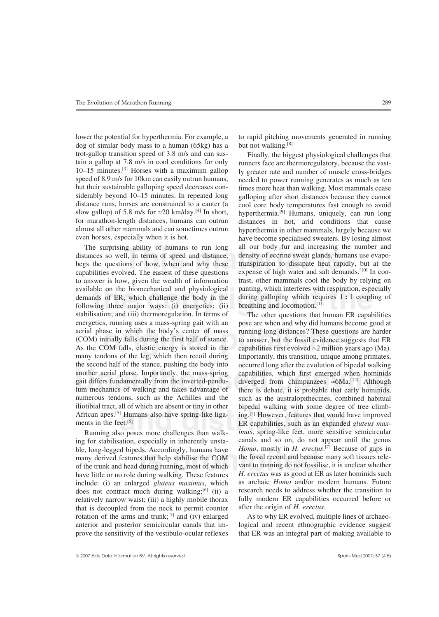lower the potential for hyperthermia. For example, a to rapid pitching movements generated in running dog of similar body mass to a human (65kg) has a but not walking.<sup>[8]</sup> trot-gallop transition speed of 3.8 m/s and can sus-<br>tain a gallop at 7.8 m/s in cool conditions for only runners face are thermoregulatory, because the vast-10–15 minutes.<sup>[3]</sup> Horses with a maximum gallop ly greater rate and number of muscle cross-bridges speed of 8.9 m/s for 10km can easily outrun humans, needed to nower running generates as much as ten speed of 8.9 m/s for 10km can easily outrun humans, seeded to power running generates as much as ten<br>but their sustainable galloping speed decreases con-<br>imes more heat than walking. Most mammals cease but their sustainable galloping speed decreases con-<br>siderably beyond 10–15 minutes. In repeated long salloping after short distances because they cannot siderably beyond 10–15 minutes. In repeated long galloping after short distances because they cannot distance runs, horses are constrained to a canter (a) cool core body temperatures fast enough to avoid distance runs, horses are constrained to a canter (a cool core body temperatures fast enough to avoid slow gallop) of 5.8 m/s for  $\approx$ 20 km/day.<sup>[4]</sup> In short, by perthermia [9] Humans, uniquely can run long slow gallop) of 5.8 m/s for ≈20 km/day.<sup>[4]</sup> In short, hyperthermia.<sup>[9]</sup> Humans, uniquely, can run long for marathon-length distances, humans can outrun distances in hot, arid conditions that cause for marathon-length distances, humans can outrun distances in hot, arid conditions that cause almost all other mammals and can sometimes outrun hyperthermia in other mammals largely because we almost all other mammals and can sometimes outrun hyperthermia in other mammals, largely because we<br>even horses, especially when it is hot.

ble on the biomechanical and physiological panting, which interferes with respiration, espends of ER, which challenge the body in the during galloping which requires 1:1 coupli<br>ving three major ways: (i) energetics; (ii) b **Solution** a term in the body's center of mass are numing long distances? These questions are harder (COM) initially falls during the first half of stance. As the COM falls, elastic energy is stored in the capabilities f another aerial phase. Importantly, the mass-spring capabilities, which first emerged when hominids gait differs fundamentally from the inverted-pendu-<br>lum mechanics of walking and takes advantage of there is debate, it is The surprising ability of humans to run long distances so well, in terms of speed and distance, begs the questions of how, when and why these capabilities evolved. The easiest of these questions expense of high water and salt demands.<sup>[10]</sup> In conto answer is how, given the wealth of information trast, other mammals cool the body by relying on to answer is how, given the wealth of information trast, other mammals cool the body by relying on available on the biomechanical and physiological  $\square$  panting, which interferes with respiration, especially available on the biomechanical and physiological demands of ER, which challenge the body in the during galloping which requires 1 **:** 1 coupling of following three major ways: (i) energetics; (ii) breathing and locomotion.<sup>[11]</sup> stabilisation; and (iii) thermoregulation. In terms of The other questions that human ER capabilities energetics, running uses a mass-spring gait with an pose are when and why did humans become good at aerial phase in which the body's center of mass running long distances? These questions are harder (COM) initially falls during the first half of stance. to answer, but the fossil evidence suggests that ER many tendons of the leg, which then recoil during Importantly, this transition, unique among primates, the second half of the stance, pushing the body into occurred long after the evolution of bipedal walking another aerial phase. Importantly, the mass-spring capabilities, which first emerged when hominids gait differs fundamentally from the inverted-pendu-<br>diverged from chimpanzees ≈6Ma.<sup>[12]</sup> Although lum mechanics of walking and takes advantage of there is debate, it is probable that early hominids, numerous tendons, such as the Achilles and the such as the australopithecines, combined habitual iliotibial tract, all of which are absent or tiny in other bipedal walking with some degree of tree climb-

ble, long-legged bipeds. Accordingly, humans have *Homo*, mostly in *H. erectus*.<sup>17</sup> Because of gaps in many derived features that help stabilise the COM the fossil record and because many soft tissues rele-<br>of the trunk ing for stabilisation, especially in inherently unstable, long-legged bipeds. Accordingly, humans have *Homo*, mostly in *H. erectus*.<sup>[7]</sup> Because of gaps in many derived features that help stabilise the COM the fossil record and because many soft tissues rele-<br>of the trunk and head during running most of which vant to running do not fossilise, it is unclear whether of the trunk and head during running, most of which include: (i) an enlarged *gluteus maximus*, which as archaic *Homo* and/or modern humans. Future does not contract much during walking;<sup>[6]</sup> (ii) a research needs to address whether the transition to relatively narrow waist; (iii) a highly mobile thorax fully modern ER capabilities occurred before or that is decoupled from the neck to permit counter after the origin of *H. erectus*. rotation of the arms and trunk;<sup>[7]</sup> and (iv) enlarged As to why ER evolved, multiple lines of archaeo-

all our body fur and increasing the number and<br>density of eccrine sweat glands, humans use evapo-<br>transpiration to dissipate heat rapidly, but at the<br>expense of high water and salt demands.<sup>[10]</sup> In conrunners face are thermoregulatory, because the vasthave become specialised sweaters. By losing almost

African apes.<sup>[5]</sup> Humans also have spring-like liga-<br>
African apes.<sup>[5]</sup> Humans also have spring-like liga-<br>
ER capabilities, such as an expanded *gluteus max*-<br>
ER capabilities, such as an expanded *gluteus max*-<br> *imus* ments in the feet.<sup>[5]</sup> ER capabilities, such as an expanded *gluteus max*-Running also poses more challenges than walk- *imus*, spring-like feet, more sensitive semicircular<br>to the specially in inherently unsta-<br>canals and so on, do not appear until the genus

anterior and posterior semicircular canals that im- logical and recent ethnographic evidence suggest prove the sensitivity of the vestibulo-ocular reflexes that ER was an integral part of making available to